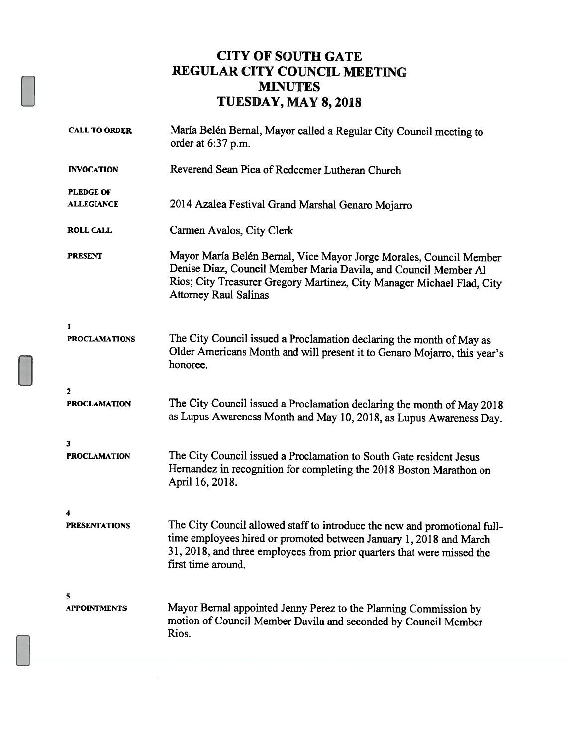### CITY OF SOUTH GATE REGULAR CITY COUNCIL MEETING MINUTES TUESDAY, MAY 8, 2018

| <b>CALL TO ORDER</b>                  | María Belén Bernal, Mayor called a Regular City Council meeting to<br>order at 6:37 p.m.                                                                                                                                                        |  |
|---------------------------------------|-------------------------------------------------------------------------------------------------------------------------------------------------------------------------------------------------------------------------------------------------|--|
| <b>INVOCATION</b>                     | Reverend Sean Pica of Redeemer Lutheran Church                                                                                                                                                                                                  |  |
| <b>PLEDGE OF</b><br><b>ALLEGIANCE</b> | 2014 Azalea Festival Grand Marshal Genaro Mojarro                                                                                                                                                                                               |  |
| <b>ROLL CALL</b>                      | Carmen Avalos, City Clerk                                                                                                                                                                                                                       |  |
| <b>PRESENT</b>                        | Mayor María Belén Bernal, Vice Mayor Jorge Morales, Council Member<br>Denise Diaz, Council Member Maria Davila, and Council Member Al<br>Rios; City Treasurer Gregory Martinez, City Manager Michael Flad, City<br><b>Attorney Raul Salinas</b> |  |
| 1                                     |                                                                                                                                                                                                                                                 |  |
| <b>PROCLAMATIONS</b>                  | The City Council issued a Proclamation declaring the month of May as<br>Older Americans Month and will present it to Genaro Mojarro, this year's<br>honoree.                                                                                    |  |
| $\mathbf{2}$                          |                                                                                                                                                                                                                                                 |  |
| <b>PROCLAMATION</b>                   | The City Council issued a Proclamation declaring the month of May 2018<br>as Lupus Awareness Month and May 10, 2018, as Lupus Awareness Day.                                                                                                    |  |
| 3                                     |                                                                                                                                                                                                                                                 |  |
| <b>PROCLAMATION</b>                   | The City Council issued a Proclamation to South Gate resident Jesus<br>Hernandez in recognition for completing the 2018 Boston Marathon on<br>April 16, 2018.                                                                                   |  |
| 4                                     |                                                                                                                                                                                                                                                 |  |
| <b>PRESENTATIONS</b>                  | The City Council allowed staff to introduce the new and promotional full-<br>time employees hired or promoted between January 1, 2018 and March<br>31, 2018, and three employees from prior quarters that were missed the<br>first time around. |  |
| 5                                     |                                                                                                                                                                                                                                                 |  |
| <b>APPOINTMENTS</b>                   | Mayor Bernal appointed Jenny Perez to the Planning Commission by<br>motion of Council Member Davila and seconded by Council Member<br>Rios.                                                                                                     |  |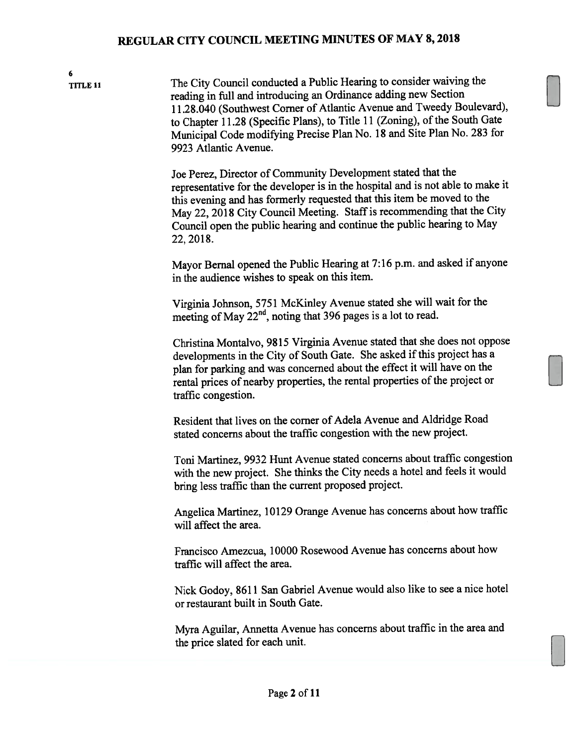6

TITLE 11 The City Council conducted a Public Hearing to consider waiving the reading in full and introducing an Ordinance adding new Section 11.28.040 (Southwest Corner of Atlantic Avenue and Tweedy Boulevard), to Chapter 11.28 (Specific Plans), to Title 11 (Zoning), of the South Gate Municipal Code modifying Precise Plan No. 18 and Site Plan No. 283 for 9923 Atlantic Avenue.

> Joe Perez, Director of Community Development stated that the representative for the developer is in the hospital and is not able to make it this evening and has formerly requested that this item be moved to the May 22, <sup>2018</sup> City Council Meeting. Staffis recommending that the City Council open the public hearing and continue the public hearing to May 22, 2018.

> Mayor Bernal opene<sup>d</sup> the Public Hearing at 7:16 p.m. and asked if anyone in the audience wishes to speak on this item.

Virginia Johnson, <sup>5751</sup> McKinley Avenue stated she will wait for the meeting of May  $22<sup>nd</sup>$ , noting that 396 pages is a lot to read.

Christina Montalvo, 9815 Virginia Avenue stated that she does not oppose developments in the City of South Gate. She asked if this project has a <sup>p</sup>lan for parking and was concerned about the effect it will have on the rental prices of nearby properties, the rental properties of the project or traffic congestion.

Resident that lives on the corner of Adela Avenue and Aidridge Road stated concerns about the traffic congestion with the new project.

Toni Martinez, 9932 Hunt Avenue stated concerns about traffic congestion with the new project. She thinks the City needs <sup>a</sup> hotel and feels it would bring less traffic than the current propose<sup>d</sup> project.

Angelica Martinez, <sup>10129</sup> Orange Avenue has concerns about how traffic will affect the area.

Francisco Amezcua, 10000 Rosewood Avenue has concerns about how traffic will affect the area.

Nick Godoy, <sup>8611</sup> San Gabriel Avenue would also like to see <sup>a</sup> nice hotel or restaurant built in South Gate.

Myra Aguilar, Annetta Avenue has concerns about traffic in the area and the price slated for each unit.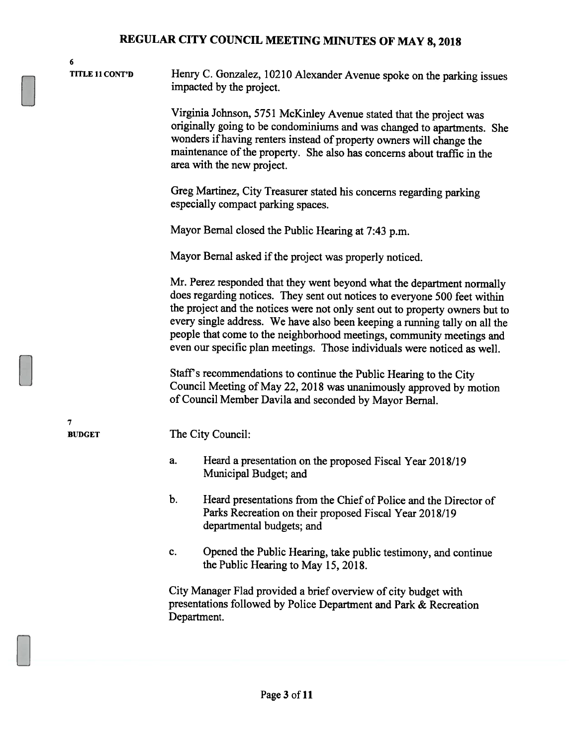6 TITLE <sup>11</sup> CONT'D Henry C. Gonzalez, <sup>10210</sup> Alexander Avenue spoke on the parking issues impacted by the project. Virginia Johnson, <sup>5751</sup> McKinley Avenue stated that the project was originally going to be condominiums and was changed to apartments. She wonders if having renters instead of property owners will change the maintenance of the property. She also has concerns about traffic in the area with the new project. Greg Martinez, City Treasurer stated his concerns regarding parking especially compact parking spaces. Mayor Bernal closed the Public Hearing at 7:43 p.m. Mayor Bernal asked if the project was properly noticed. Mr. Perez responded that they went beyond what the department normally does regarding notices. They sent out notices to everyone <sup>500</sup> feet within the project and the notices were not only sent out to property owners but to every single address. We have also been keeping <sup>a</sup> running tally on all the people that come to the neighborhood meetings, community meetings and even our specific pian meetings. Those individuals were noticed as well. Staff's recommendations to continue the Public Hearing to the City Council Meeting of May 22, <sup>2018</sup> was unanimously approved by motion of Council Member Davila and seconded by Mayor Bemal. 7 BUDGET The City Council: a. Heard <sup>a</sup> presentation on the proposed Fiscal Year 2018/19 Municipal Budget; and b. Heard presentations from the Chief of Police and the Director of Parks Recreation on their proposed Fiscal Year 2018/19 departmental budgets; and c. Opened the Public Hearing, take public testimony, and continue the Public Hearing to May 15, 2018. City Manager Flad provided <sup>a</sup> brief overview of city budget with presentations followed by Police Department and Park & Recreation Department.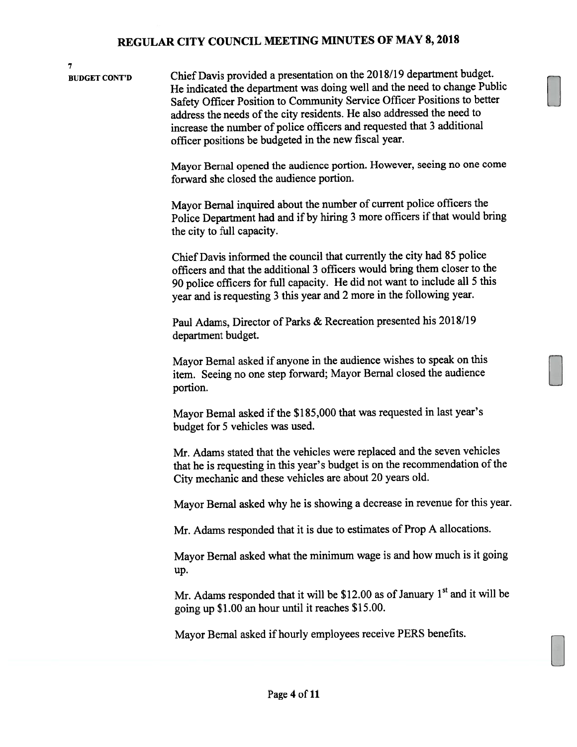7

BUDGET CONT'D Chief Davis provided <sup>a</sup> presentation on the 2018/19 department budget. He indicated the department was doing well and the need to change Public Safety Officer Position to Community Service Officer Positions to better address the needs of the city residents. He also addressed the need to increase the number of police officers and requested that <sup>3</sup> additional officer positions be budgeted in the new fiscal year.

> Mayor Bernal opene<sup>d</sup> the audience portion. However, seeing no one come forward she closed the audience portion.

> Mayor Bemal inquired about the number of current police officers the Police Department had and if by hiring 3 more officers if that would bring the city to full capacity.

Chief Davis informed the council that currently the city had 85 police officers and that the additional 3 officers would bring them closer to the <sup>90</sup> police officers for full capacity. He did not want to include all <sup>5</sup> this year and is requesting <sup>3</sup> this year and <sup>2</sup> more in the following year.

Paul Adams, Director of Parks & Recreation presented his 2018/19 department budget.

Mayor Bernal asked if anyone in the audience wishes to spea<sup>k</sup> on this item. Seeing no one step forward; Mayor Bernal closed the audience portion.

Mayor Bernal asked if the \$185,000 that was requested in last year's budget for 5 vehicles was used.

Mr. Adams stated that the vehicles were replaced and the seven vehicles that he is requesting in this year's budget is on the recommendation of the City mechanic and these vehicles are about <sup>20</sup> years old.

Mayor Bernal asked why he is showing <sup>a</sup> decrease in revenue for this year.

Mr. Adams responded that it is due to estimates of Prop <sup>A</sup> allocations.

Mayor Bemal asked what the minimum wage is and how much is it going up.

Mr. Adams responded that it will be  $$12.00$  as of January 1<sup>st</sup> and it will be going up \$1.00 an hour until it reaches \$15.00.

Mayor Bemal asked if hourly employees receive PERS benefits.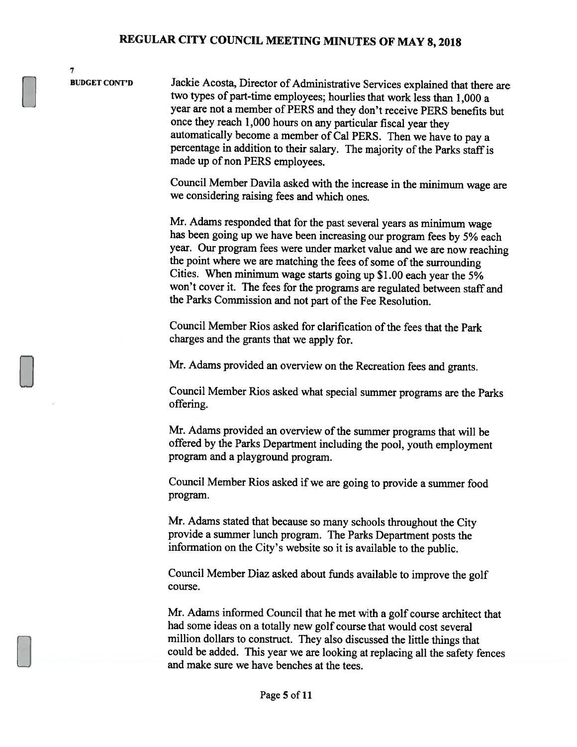7

BUDGET CONT'D Jackie Acosta, Director of Administrative Services explained that there are two types of part-time employees; hourlies that work less than 1,000 <sup>a</sup> year are not <sup>a</sup> member of PERS and they don't receive PERS benefits but once they reach 1,000 hours on any particular fiscal year they automatically become <sup>a</sup> member of Cal PERS. Then we have to pay <sup>a</sup> percentage in addition to their salary. The majority of the Parks staff is made up of non PERS employees.

> Council Member Davila asked with the increase in the minimum wage are we considering raising fees and which ones.

> Mr. Adams responded that for the past several years as minimum wage has been going up we have been increasing our program fees by 5% each year. Our program fees were under market value and we are now reaching the point where we are matching the fees of some of the surrounding Cities. When minimum wage starts going up \$1.00 each year the 5% won't cover it. The fees for the programs are regulated between staff and the Parks Commission and not part of the Fee Resolution.

Council Member Rios asked for clarification of the fees that the Park charges and the grants that we apply for.

Mr. Adams provided an overview on the Recreation fees and grants.

Council Member Rios asked what special summer programs are the Parks offering.

Mr. Adams provided an overview of the summer programs that will be offered by the Parks Department including the pool, youth employment program and <sup>a</sup> playground program.

Council Member Rios asked if we are going to provide <sup>a</sup> summer food program.

Mr. Adams stated that because so many schools throughout the City provide <sup>a</sup> summer lunch program. The Parks Department posts the information on the City's website so it is available to the public.

Council Member Diaz asked about funds available to improve the golf course.

Mr. Adams informed Council that he met with <sup>a</sup> golf course architect that had some ideas on <sup>a</sup> totally new golf course that would cost several million dollars to construct. They also discussed the little things that could be added. This year we are looking at replacing all the safety fences and make sure we have benches at the tees.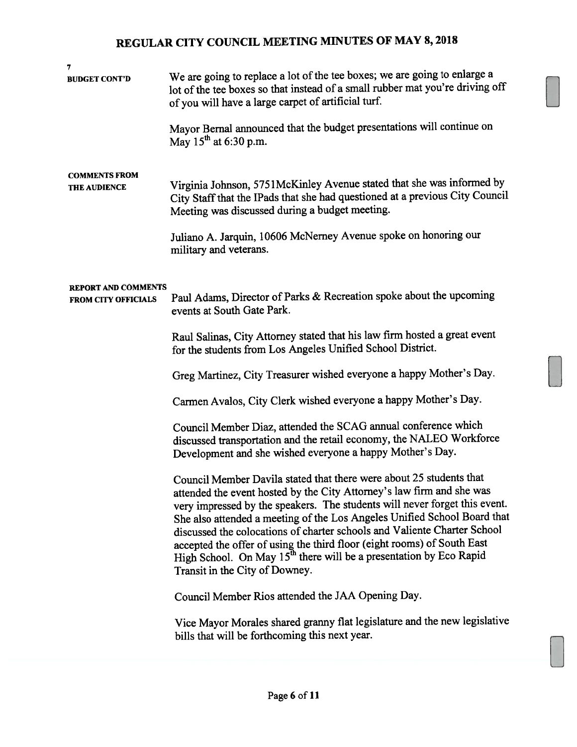| 7<br><b>BUDGET CONT'D</b>                                | We are going to replace a lot of the tee boxes; we are going to enlarge a<br>lot of the tee boxes so that instead of a small rubber mat you're driving off<br>of you will have a large carpet of artificial turf.<br>Mayor Bernal announced that the budget presentations will continue on<br>May $15^{th}$ at 6:30 p.m.                                                                                                                                                                                                                                                          |  |
|----------------------------------------------------------|-----------------------------------------------------------------------------------------------------------------------------------------------------------------------------------------------------------------------------------------------------------------------------------------------------------------------------------------------------------------------------------------------------------------------------------------------------------------------------------------------------------------------------------------------------------------------------------|--|
|                                                          |                                                                                                                                                                                                                                                                                                                                                                                                                                                                                                                                                                                   |  |
| <b>COMMENTS FROM</b><br><b>THE AUDIENCE</b>              | Virginia Johnson, 5751McKinley Avenue stated that she was informed by<br>City Staff that the IPads that she had questioned at a previous City Council<br>Meeting was discussed during a budget meeting.                                                                                                                                                                                                                                                                                                                                                                           |  |
|                                                          | Juliano A. Jarquin, 10606 McNerney Avenue spoke on honoring our<br>military and veterans.                                                                                                                                                                                                                                                                                                                                                                                                                                                                                         |  |
|                                                          |                                                                                                                                                                                                                                                                                                                                                                                                                                                                                                                                                                                   |  |
| <b>REPORT AND COMMENTS</b><br><b>FROM CITY OFFICIALS</b> | Paul Adams, Director of Parks & Recreation spoke about the upcoming<br>events at South Gate Park.                                                                                                                                                                                                                                                                                                                                                                                                                                                                                 |  |
|                                                          | Raul Salinas, City Attorney stated that his law firm hosted a great event<br>for the students from Los Angeles Unified School District.                                                                                                                                                                                                                                                                                                                                                                                                                                           |  |
|                                                          | Greg Martinez, City Treasurer wished everyone a happy Mother's Day.                                                                                                                                                                                                                                                                                                                                                                                                                                                                                                               |  |
|                                                          | Carmen Avalos, City Clerk wished everyone a happy Mother's Day.                                                                                                                                                                                                                                                                                                                                                                                                                                                                                                                   |  |
|                                                          | Council Member Diaz, attended the SCAG annual conference which<br>discussed transportation and the retail economy, the NALEO Workforce<br>Development and she wished everyone a happy Mother's Day.                                                                                                                                                                                                                                                                                                                                                                               |  |
|                                                          | Council Member Davila stated that there were about 25 students that<br>attended the event hosted by the City Attorney's law firm and she was<br>very impressed by the speakers. The students will never forget this event.<br>She also attended a meeting of the Los Angeles Unified School Board that<br>discussed the colocations of charter schools and Valiente Charter School<br>accepted the offer of using the third floor (eight rooms) of South East<br>High School. On May 15 <sup>th</sup> there will be a presentation by Eco Rapid<br>Transit in the City of Downey. |  |
|                                                          | Council Member Rios attended the JAA Opening Day.                                                                                                                                                                                                                                                                                                                                                                                                                                                                                                                                 |  |
|                                                          | Vice Mayor Morales shared granny flat legislature and the new legislative<br>bills that will be forthcoming this next year.                                                                                                                                                                                                                                                                                                                                                                                                                                                       |  |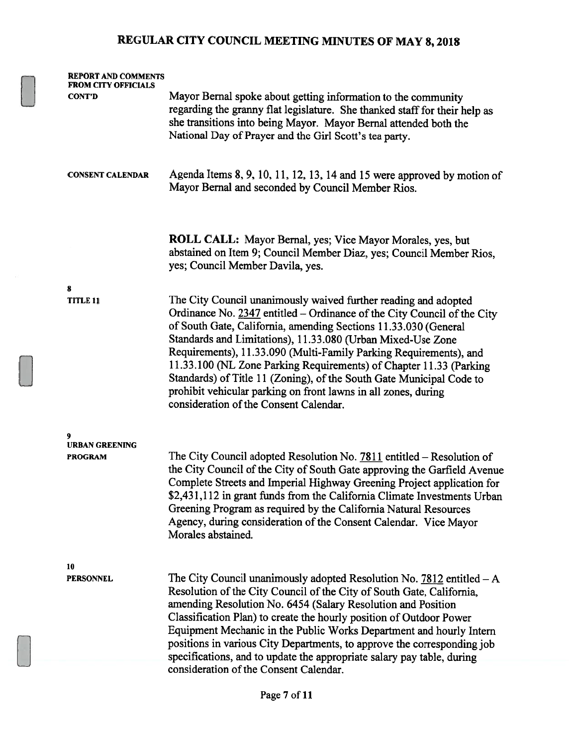| <b>REPORT AND COMMENTS</b><br><b>FROM CITY OFFICIALS</b><br><b>CONT'D</b> | Mayor Bernal spoke about getting information to the community<br>regarding the granny flat legislature. She thanked staff for their help as<br>she transitions into being Mayor. Mayor Bernal attended both the<br>National Day of Prayer and the Girl Scott's tea party.                                                                                                                                                                                                                                                                                                                                   |
|---------------------------------------------------------------------------|-------------------------------------------------------------------------------------------------------------------------------------------------------------------------------------------------------------------------------------------------------------------------------------------------------------------------------------------------------------------------------------------------------------------------------------------------------------------------------------------------------------------------------------------------------------------------------------------------------------|
| <b>CONSENT CALENDAR</b>                                                   | Agenda Items 8, 9, 10, 11, 12, 13, 14 and 15 were approved by motion of<br>Mayor Bernal and seconded by Council Member Rios.                                                                                                                                                                                                                                                                                                                                                                                                                                                                                |
|                                                                           | <b>ROLL CALL:</b> Mayor Bernal, yes; Vice Mayor Morales, yes, but<br>abstained on Item 9; Council Member Diaz, yes; Council Member Rios,<br>yes; Council Member Davila, yes.                                                                                                                                                                                                                                                                                                                                                                                                                                |
| 8<br><b>TITLE 11</b>                                                      | The City Council unanimously waived further reading and adopted<br>Ordinance No. 2347 entitled – Ordinance of the City Council of the City<br>of South Gate, California, amending Sections 11.33.030 (General<br>Standards and Limitations), 11.33.080 (Urban Mixed-Use Zone<br>Requirements), 11.33.090 (Multi-Family Parking Requirements), and<br>11.33.100 (NL Zone Parking Requirements) of Chapter 11.33 (Parking<br>Standards) of Title 11 (Zoning), of the South Gate Municipal Code to<br>prohibit vehicular parking on front lawns in all zones, during<br>consideration of the Consent Calendar. |
| 9<br>URBAN GREENING<br><b>PROGRAM</b>                                     | The City Council adopted Resolution No. 7811 entitled - Resolution of<br>the City Council of the City of South Gate approving the Garfield Avenue<br>Complete Streets and Imperial Highway Greening Project application for<br>\$2,431,112 in grant funds from the California Climate Investments Urban<br>Greening Program as required by the California Natural Resources<br>Agency, during consideration of the Consent Calendar. Vice Mayor<br>Morales abstained.                                                                                                                                       |
| 10<br><b>PERSONNEL</b>                                                    | The City Council unanimously adopted Resolution No. $7812$ entitled $-A$<br>Resolution of the City Council of the City of South Gate, California,<br>amending Resolution No. 6454 (Salary Resolution and Position<br>Classification Plan) to create the hourly position of Outdoor Power<br>Equipment Mechanic in the Public Works Department and hourly Intern<br>positions in various City Departments, to approve the corresponding job<br>specifications, and to update the appropriate salary pay table, during<br>consideration of the Consent Calendar.                                              |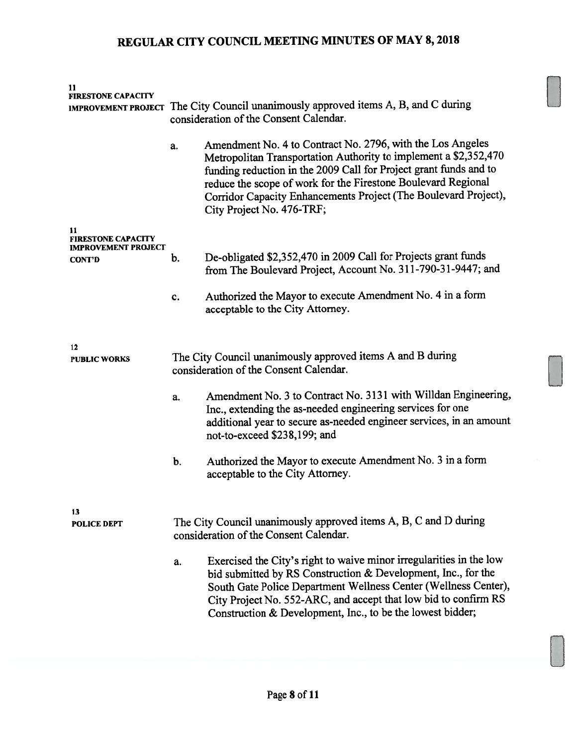| 11<br><b>FIRESTONE CAPACITY</b><br><b>IMPROVEMENT PROJECT</b> |                                                                                                      | The City Council unanimously approved items A, B, and C during<br>consideration of the Consent Calendar.                                                                                                                                                                                                                                                             |  |
|---------------------------------------------------------------|------------------------------------------------------------------------------------------------------|----------------------------------------------------------------------------------------------------------------------------------------------------------------------------------------------------------------------------------------------------------------------------------------------------------------------------------------------------------------------|--|
|                                                               | a.                                                                                                   | Amendment No. 4 to Contract No. 2796, with the Los Angeles<br>Metropolitan Transportation Authority to implement a \$2,352,470<br>funding reduction in the 2009 Call for Project grant funds and to<br>reduce the scope of work for the Firestone Boulevard Regional<br>Corridor Capacity Enhancements Project (The Boulevard Project),<br>City Project No. 476-TRF; |  |
| 11<br><b>FIRESTONE CAPACITY</b><br><b>IMPROVEMENT PROJECT</b> |                                                                                                      |                                                                                                                                                                                                                                                                                                                                                                      |  |
| <b>CONT'D</b>                                                 | b.                                                                                                   | De-obligated \$2,352,470 in 2009 Call for Projects grant funds<br>from The Boulevard Project, Account No. 311-790-31-9447; and                                                                                                                                                                                                                                       |  |
|                                                               | c.                                                                                                   | Authorized the Mayor to execute Amendment No. 4 in a form<br>acceptable to the City Attorney.                                                                                                                                                                                                                                                                        |  |
| 12<br><b>PUBLIC WORKS</b>                                     | The City Council unanimously approved items A and B during<br>consideration of the Consent Calendar. |                                                                                                                                                                                                                                                                                                                                                                      |  |
|                                                               | a.                                                                                                   | Amendment No. 3 to Contract No. 3131 with Willdan Engineering,<br>Inc., extending the as-needed engineering services for one<br>additional year to secure as-needed engineer services, in an amount<br>not-to-exceed \$238,199; and                                                                                                                                  |  |
|                                                               | b.                                                                                                   | Authorized the Mayor to execute Amendment No. 3 in a form<br>acceptable to the City Attorney.                                                                                                                                                                                                                                                                        |  |
| 13                                                            |                                                                                                      |                                                                                                                                                                                                                                                                                                                                                                      |  |
| <b>POLICE DEPT</b>                                            |                                                                                                      | The City Council unanimously approved items A, B, C and D during<br>consideration of the Consent Calendar.                                                                                                                                                                                                                                                           |  |
|                                                               | a.                                                                                                   | Exercised the City's right to waive minor irregularities in the low<br>bid submitted by RS Construction & Development, Inc., for the<br>South Gate Police Department Wellness Center (Wellness Center),<br>City Project No. 552-ARC, and accept that low bid to confirm RS<br>Construction & Development, Inc., to be the lowest bidder;                             |  |

LI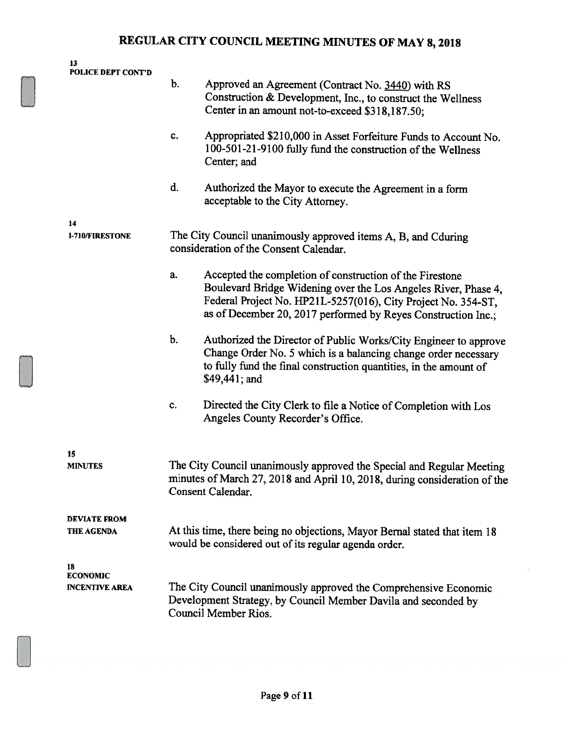| 13<br><b>POLICE DEPT CONT'D</b>          |                                                                                                                                                                         |                                                                                                                                                                                                                                                              |  |
|------------------------------------------|-------------------------------------------------------------------------------------------------------------------------------------------------------------------------|--------------------------------------------------------------------------------------------------------------------------------------------------------------------------------------------------------------------------------------------------------------|--|
|                                          | $b$ .                                                                                                                                                                   | Approved an Agreement (Contract No. 3440) with RS<br>Construction & Development, Inc., to construct the Wellness<br>Center in an amount not-to-exceed \$318,187.50;                                                                                          |  |
|                                          | c.                                                                                                                                                                      | Appropriated \$210,000 in Asset Forfeiture Funds to Account No.<br>100-501-21-9100 fully fund the construction of the Wellness<br>Center; and                                                                                                                |  |
|                                          | d.                                                                                                                                                                      | Authorized the Mayor to execute the Agreement in a form<br>acceptable to the City Attorney.                                                                                                                                                                  |  |
| 14                                       |                                                                                                                                                                         |                                                                                                                                                                                                                                                              |  |
| <b>I-710/FIRESTONE</b>                   |                                                                                                                                                                         | The City Council unanimously approved items A, B, and Cduring<br>consideration of the Consent Calendar.                                                                                                                                                      |  |
|                                          | a.                                                                                                                                                                      | Accepted the completion of construction of the Firestone<br>Boulevard Bridge Widening over the Los Angeles River, Phase 4,<br>Federal Project No. HP21L-5257(016), City Project No. 354-ST,<br>as of December 20, 2017 performed by Reyes Construction Inc.; |  |
|                                          | b.                                                                                                                                                                      | Authorized the Director of Public Works/City Engineer to approve<br>Change Order No. 5 which is a balancing change order necessary<br>to fully fund the final construction quantities, in the amount of<br>\$49,441; and                                     |  |
|                                          | c.                                                                                                                                                                      | Directed the City Clerk to file a Notice of Completion with Los<br>Angeles County Recorder's Office.                                                                                                                                                         |  |
|                                          |                                                                                                                                                                         |                                                                                                                                                                                                                                                              |  |
| 15<br><b>MINUTES</b>                     | The City Council unanimously approved the Special and Regular Meeting<br>minutes of March 27, 2018 and April 10, 2018, during consideration of the<br>Consent Calendar. |                                                                                                                                                                                                                                                              |  |
| <b>DEVIATE FROM</b>                      |                                                                                                                                                                         |                                                                                                                                                                                                                                                              |  |
| <b>THE AGENDA</b>                        | At this time, there being no objections, Mayor Bernal stated that item 18<br>would be considered out of its regular agenda order.                                       |                                                                                                                                                                                                                                                              |  |
| 18                                       |                                                                                                                                                                         |                                                                                                                                                                                                                                                              |  |
| <b>ECONOMIC</b><br><b>INCENTIVE AREA</b> |                                                                                                                                                                         | The City Council unanimously approved the Comprehensive Economic<br>Development Strategy, by Council Member Davila and seconded by<br>Council Member Rios.                                                                                                   |  |
|                                          |                                                                                                                                                                         |                                                                                                                                                                                                                                                              |  |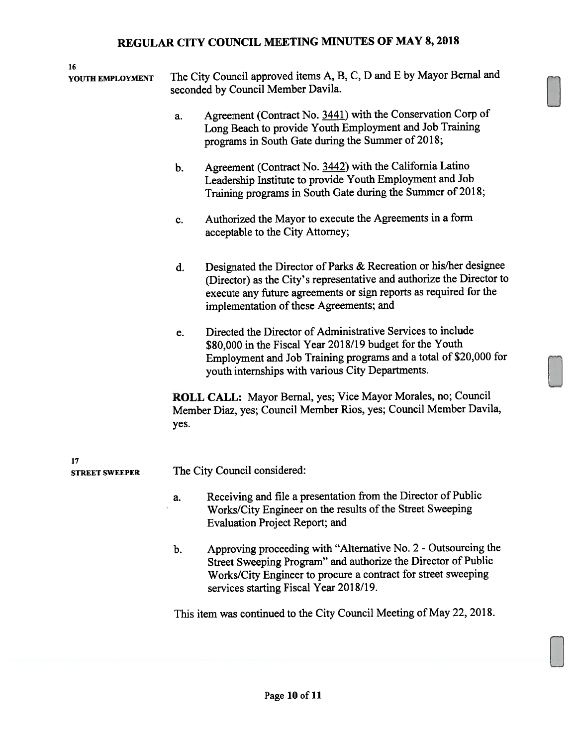| 16                          |      |                                                                                                                                                                                                                                                            |
|-----------------------------|------|------------------------------------------------------------------------------------------------------------------------------------------------------------------------------------------------------------------------------------------------------------|
| YOUTH EMPLOYMENT            |      | The City Council approved items A, B, C, D and E by Mayor Bernal and<br>seconded by Council Member Davila.                                                                                                                                                 |
|                             | a.   | Agreement (Contract No. 3441) with the Conservation Corp of<br>Long Beach to provide Youth Employment and Job Training<br>programs in South Gate during the Summer of 2018;                                                                                |
|                             | b.   | Agreement (Contract No. 3442) with the California Latino<br>Leadership Institute to provide Youth Employment and Job<br>Training programs in South Gate during the Summer of 2018;                                                                         |
|                             | c.   | Authorized the Mayor to execute the Agreements in a form<br>acceptable to the City Attorney;                                                                                                                                                               |
|                             | d.   | Designated the Director of Parks & Recreation or his/her designee<br>(Director) as the City's representative and authorize the Director to<br>execute any future agreements or sign reports as required for the<br>implementation of these Agreements; and |
|                             | e.   | Directed the Director of Administrative Services to include<br>\$80,000 in the Fiscal Year 2018/19 budget for the Youth<br>Employment and Job Training programs and a total of \$20,000 for<br>youth internships with various City Departments.            |
|                             | yes. | ROLL CALL: Mayor Bernal, yes; Vice Mayor Morales, no; Council<br>Member Diaz, yes; Council Member Rios, yes; Council Member Davila,                                                                                                                        |
| 17<br><b>STREET SWEEPER</b> |      | The City Council considered:                                                                                                                                                                                                                               |
|                             | a.   | Receiving and file a presentation from the Director of Public<br>Works/City Engineer on the results of the Street Sweeping<br><b>Evaluation Project Report; and</b>                                                                                        |
|                             | b.   | Approving proceeding with "Alternative No. 2 - Outsourcing the<br>Street Sweeping Program" and authorize the Director of Public<br>Works/City Engineer to procure a contract for street sweeping<br>services starting Fiscal Year 2018/19.                 |
|                             |      | This item was continued to the City Council Meeting of May 22, 2018.                                                                                                                                                                                       |

El